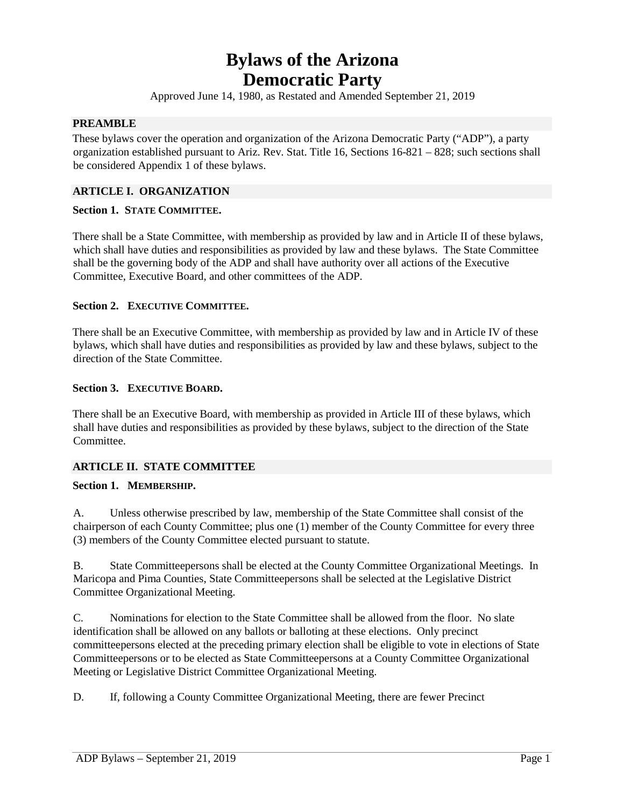# **Bylaws of the Arizona Democratic Party**

Approved June 14, 1980, as Restated and Amended September 21, 2019

#### **PREAMBLE**

These bylaws cover the operation and organization of the Arizona Democratic Party ("ADP"), a party organization established pursuant to Ariz. Rev. Stat. Title 16, Sections 16-821 – 828; such sections shall be considered Appendix 1 of these bylaws.

### **ARTICLE I. ORGANIZATION**

#### **Section 1. STATE COMMITTEE.**

There shall be a State Committee, with membership as provided by law and in Article II of these bylaws, which shall have duties and responsibilities as provided by law and these bylaws. The State Committee shall be the governing body of the ADP and shall have authority over all actions of the Executive Committee, Executive Board, and other committees of the ADP.

## **Section 2. EXECUTIVE COMMITTEE.**

There shall be an Executive Committee, with membership as provided by law and in Article IV of these bylaws, which shall have duties and responsibilities as provided by law and these bylaws, subject to the direction of the State Committee.

#### **Section 3. EXECUTIVE BOARD.**

There shall be an Executive Board, with membership as provided in Article III of these bylaws, which shall have duties and responsibilities as provided by these bylaws, subject to the direction of the State Committee.

#### **ARTICLE II. STATE COMMITTEE**

#### **Section 1. MEMBERSHIP.**

A. Unless otherwise prescribed by law, membership of the State Committee shall consist of the chairperson of each County Committee; plus one (1) member of the County Committee for every three (3) members of the County Committee elected pursuant to statute.

B. State Committeepersons shall be elected at the County Committee Organizational Meetings. In Maricopa and Pima Counties, State Committeepersons shall be selected at the Legislative District Committee Organizational Meeting.

C. Nominations for election to the State Committee shall be allowed from the floor. No slate identification shall be allowed on any ballots or balloting at these elections. Only precinct committeepersons elected at the preceding primary election shall be eligible to vote in elections of State Committeepersons or to be elected as State Committeepersons at a County Committee Organizational Meeting or Legislative District Committee Organizational Meeting.

D. If, following a County Committee Organizational Meeting, there are fewer Precinct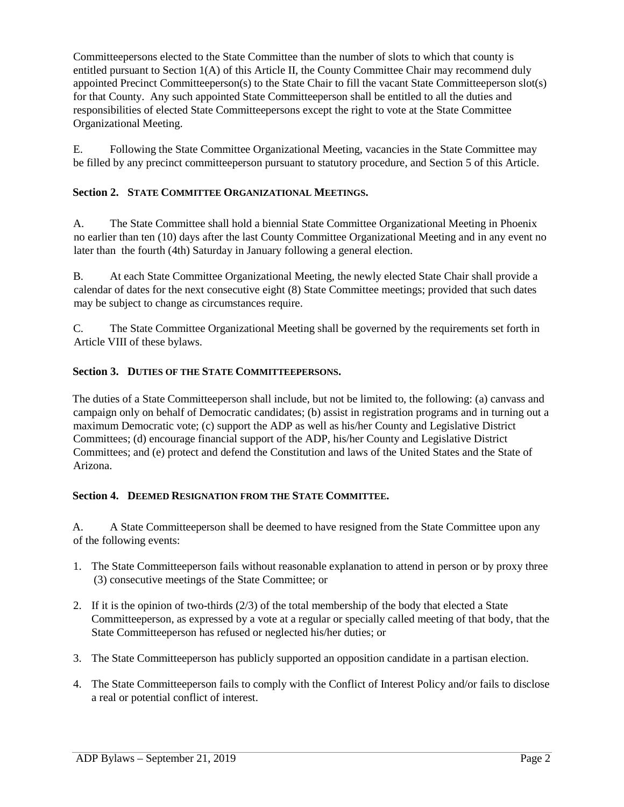Committeepersons elected to the State Committee than the number of slots to which that county is entitled pursuant to Section 1(A) of this Article II, the County Committee Chair may recommend duly appointed Precinct Committeeperson(s) to the State Chair to fill the vacant State Committeeperson slot(s) for that County. Any such appointed State Committeeperson shall be entitled to all the duties and responsibilities of elected State Committeepersons except the right to vote at the State Committee Organizational Meeting.

E. Following the State Committee Organizational Meeting, vacancies in the State Committee may be filled by any precinct committeeperson pursuant to statutory procedure, and Section 5 of this Article.

# **Section 2. STATE COMMITTEE ORGANIZATIONAL MEETINGS.**

A. The State Committee shall hold a biennial State Committee Organizational Meeting in Phoenix no earlier than ten (10) days after the last County Committee Organizational Meeting and in any event no later than the fourth (4th) Saturday in January following a general election.

B. At each State Committee Organizational Meeting, the newly elected State Chair shall provide a calendar of dates for the next consecutive eight (8) State Committee meetings; provided that such dates may be subject to change as circumstances require.

C. The State Committee Organizational Meeting shall be governed by the requirements set forth in Article VIII of these bylaws.

# **Section 3. DUTIES OF THE STATE COMMITTEEPERSONS.**

The duties of a State Committeeperson shall include, but not be limited to, the following: (a) canvass and campaign only on behalf of Democratic candidates; (b) assist in registration programs and in turning out a maximum Democratic vote; (c) support the ADP as well as his/her County and Legislative District Committees; (d) encourage financial support of the ADP, his/her County and Legislative District Committees; and (e) protect and defend the Constitution and laws of the United States and the State of Arizona.

#### **Section 4. DEEMED RESIGNATION FROM THE STATE COMMITTEE.**

A. A State Committeeperson shall be deemed to have resigned from the State Committee upon any of the following events:

- 1. The State Committeeperson fails without reasonable explanation to attend in person or by proxy three (3) consecutive meetings of the State Committee; or
- 2. If it is the opinion of two-thirds (2/3) of the total membership of the body that elected a State Committeeperson, as expressed by a vote at a regular or specially called meeting of that body, that the State Committeeperson has refused or neglected his/her duties; or
- 3. The State Committeeperson has publicly supported an opposition candidate in a partisan election.
- 4. The State Committeeperson fails to comply with the Conflict of Interest Policy and/or fails to disclose a real or potential conflict of interest.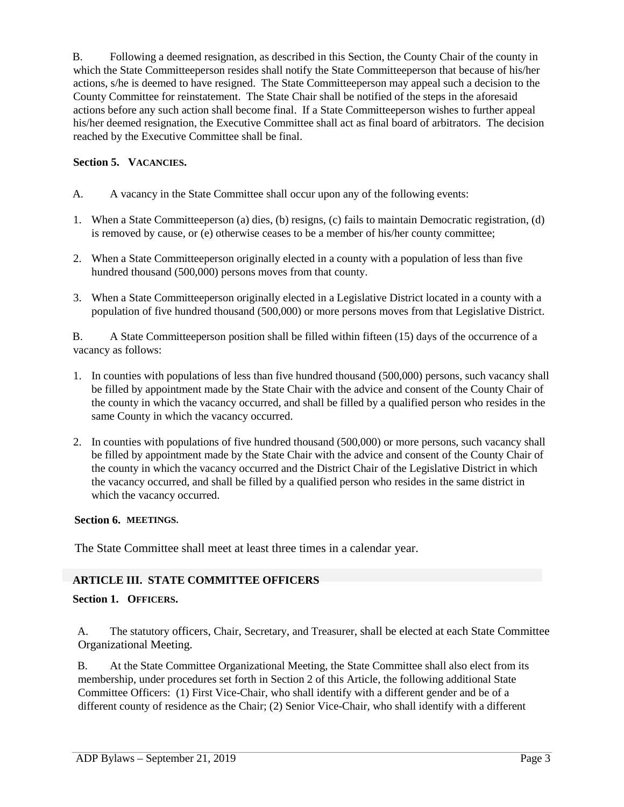B. Following a deemed resignation, as described in this Section, the County Chair of the county in which the State Committeeperson resides shall notify the State Committeeperson that because of his/her actions, s/he is deemed to have resigned. The State Committeeperson may appeal such a decision to the County Committee for reinstatement. The State Chair shall be notified of the steps in the aforesaid actions before any such action shall become final. If a State Committeeperson wishes to further appeal his/her deemed resignation, the Executive Committee shall act as final board of arbitrators. The decision reached by the Executive Committee shall be final.

# **Section 5. VACANCIES.**

- A. A vacancy in the State Committee shall occur upon any of the following events:
- 1. When a State Committeeperson (a) dies, (b) resigns, (c) fails to maintain Democratic registration, (d) is removed by cause, or (e) otherwise ceases to be a member of his/her county committee;
- 2. When a State Committeeperson originally elected in a county with a population of less than five hundred thousand (500,000) persons moves from that county.
- 3. When a State Committeeperson originally elected in a Legislative District located in a county with a population of five hundred thousand (500,000) or more persons moves from that Legislative District.

B. A State Committeeperson position shall be filled within fifteen (15) days of the occurrence of a vacancy as follows:

- 1. In counties with populations of less than five hundred thousand (500,000) persons, such vacancy shall be filled by appointment made by the State Chair with the advice and consent of the County Chair of the county in which the vacancy occurred, and shall be filled by a qualified person who resides in the same County in which the vacancy occurred.
- 2. In counties with populations of five hundred thousand (500,000) or more persons, such vacancy shall be filled by appointment made by the State Chair with the advice and consent of the County Chair of the county in which the vacancy occurred and the District Chair of the Legislative District in which the vacancy occurred, and shall be filled by a qualified person who resides in the same district in which the vacancy occurred.

# **Section 6. MEETINGS.**

The State Committee shall meet at least three times in a calendar year.

# **ARTICLE III. STATE COMMITTEE OFFICERS**

# **Section 1. OFFICERS.**

A. The statutory officers, Chair, Secretary, and Treasurer, shall be elected at each State Committee Organizational Meeting.

B. At the State Committee Organizational Meeting, the State Committee shall also elect from its membership, under procedures set forth in Section 2 of this Article, the following additional State Committee Officers: (1) First Vice-Chair, who shall identify with a different gender and be of a different county of residence as the Chair; (2) Senior Vice-Chair, who shall identify with a different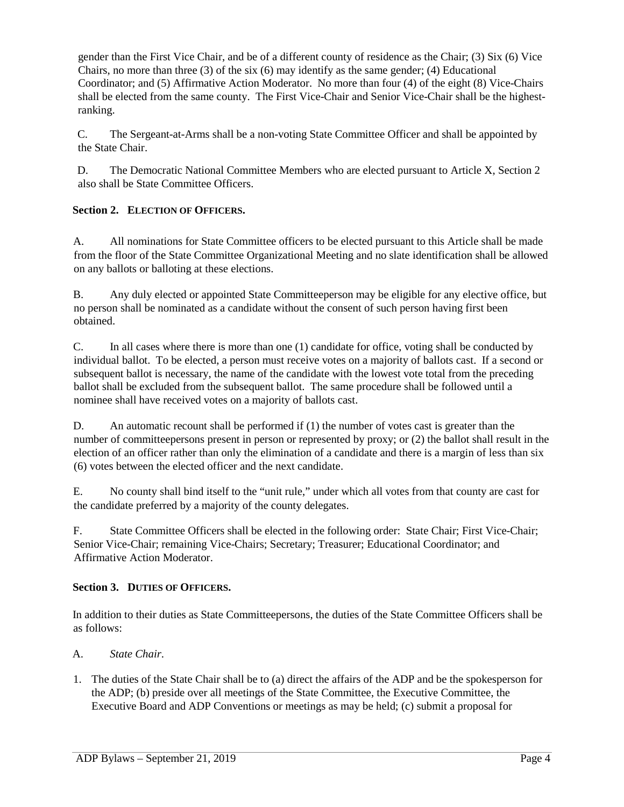gender than the First Vice Chair, and be of a different county of residence as the Chair; (3) Six (6) Vice Chairs, no more than three  $(3)$  of the six  $(6)$  may identify as the same gender;  $(4)$  Educational Coordinator; and (5) Affirmative Action Moderator. No more than four (4) of the eight (8) Vice-Chairs shall be elected from the same county. The First Vice-Chair and Senior Vice-Chair shall be the highestranking.

C. The Sergeant-at-Arms shall be a non-voting State Committee Officer and shall be appointed by the State Chair.

D. The Democratic National Committee Members who are elected pursuant to Article X, Section 2 also shall be State Committee Officers.

# **Section 2. ELECTION OF OFFICERS.**

A. All nominations for State Committee officers to be elected pursuant to this Article shall be made from the floor of the State Committee Organizational Meeting and no slate identification shall be allowed on any ballots or balloting at these elections.

B. Any duly elected or appointed State Committeeperson may be eligible for any elective office, but no person shall be nominated as a candidate without the consent of such person having first been obtained.

C. In all cases where there is more than one (1) candidate for office, voting shall be conducted by individual ballot. To be elected, a person must receive votes on a majority of ballots cast. If a second or subsequent ballot is necessary, the name of the candidate with the lowest vote total from the preceding ballot shall be excluded from the subsequent ballot. The same procedure shall be followed until a nominee shall have received votes on a majority of ballots cast.

D. An automatic recount shall be performed if (1) the number of votes cast is greater than the number of committeepersons present in person or represented by proxy; or (2) the ballot shall result in the election of an officer rather than only the elimination of a candidate and there is a margin of less than six (6) votes between the elected officer and the next candidate.

E. No county shall bind itself to the "unit rule," under which all votes from that county are cast for the candidate preferred by a majority of the county delegates.

F. State Committee Officers shall be elected in the following order: State Chair; First Vice-Chair; Senior Vice-Chair; remaining Vice-Chairs; Secretary; Treasurer; Educational Coordinator; and Affirmative Action Moderator.

# **Section 3. DUTIES OF OFFICERS.**

In addition to their duties as State Committeepersons, the duties of the State Committee Officers shall be as follows:

- A. *State Chair*.
- 1. The duties of the State Chair shall be to (a) direct the affairs of the ADP and be the spokesperson for the ADP; (b) preside over all meetings of the State Committee, the Executive Committee, the Executive Board and ADP Conventions or meetings as may be held; (c) submit a proposal for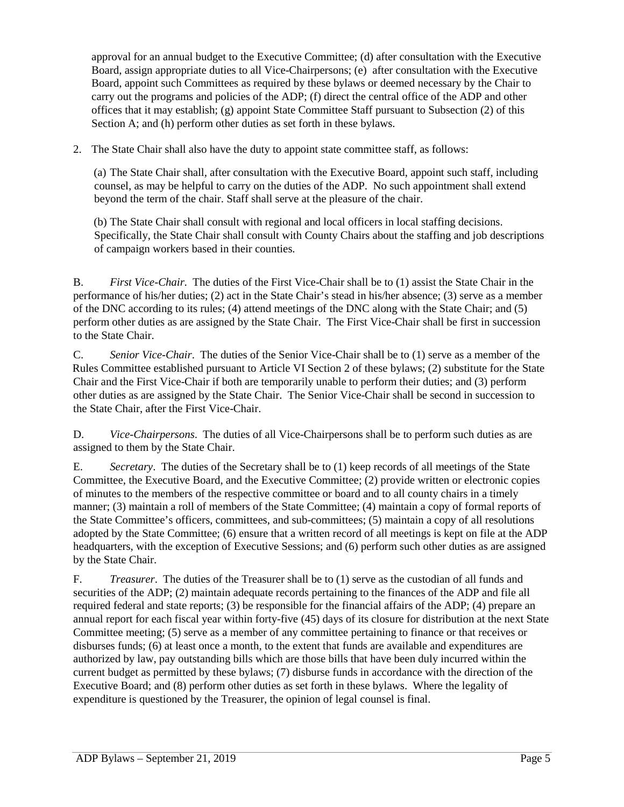approval for an annual budget to the Executive Committee; (d) after consultation with the Executive Board, assign appropriate duties to all Vice-Chairpersons; (e) after consultation with the Executive Board, appoint such Committees as required by these bylaws or deemed necessary by the Chair to carry out the programs and policies of the ADP; (f) direct the central office of the ADP and other offices that it may establish; (g) appoint State Committee Staff pursuant to Subsection (2) of this Section A; and (h) perform other duties as set forth in these bylaws.

2. The State Chair shall also have the duty to appoint state committee staff, as follows:

(a) The State Chair shall, after consultation with the Executive Board, appoint such staff, including counsel, as may be helpful to carry on the duties of the ADP. No such appointment shall extend beyond the term of the chair. Staff shall serve at the pleasure of the chair.

(b) The State Chair shall consult with regional and local officers in local staffing decisions. Specifically, the State Chair shall consult with County Chairs about the staffing and job descriptions of campaign workers based in their counties.

B. *First Vice-Chair*. The duties of the First Vice-Chair shall be to (1) assist the State Chair in the performance of his/her duties; (2) act in the State Chair's stead in his/her absence; (3) serve as a member of the DNC according to its rules; (4) attend meetings of the DNC along with the State Chair; and (5) perform other duties as are assigned by the State Chair. The First Vice-Chair shall be first in succession to the State Chair.

C. *Senior Vice-Chair*. The duties of the Senior Vice-Chair shall be to (1) serve as a member of the Rules Committee established pursuant to Article VI Section 2 of these bylaws; (2) substitute for the State Chair and the First Vice-Chair if both are temporarily unable to perform their duties; and (3) perform other duties as are assigned by the State Chair. The Senior Vice-Chair shall be second in succession to the State Chair, after the First Vice-Chair.

D. *Vice-Chairpersons*. The duties of all Vice-Chairpersons shall be to perform such duties as are assigned to them by the State Chair.

E. *Secretary*. The duties of the Secretary shall be to (1) keep records of all meetings of the State Committee, the Executive Board, and the Executive Committee; (2) provide written or electronic copies of minutes to the members of the respective committee or board and to all county chairs in a timely manner; (3) maintain a roll of members of the State Committee; (4) maintain a copy of formal reports of the State Committee's officers, committees, and sub-committees; (5) maintain a copy of all resolutions adopted by the State Committee; (6) ensure that a written record of all meetings is kept on file at the ADP headquarters, with the exception of Executive Sessions; and (6) perform such other duties as are assigned by the State Chair.

F. *Treasurer*. The duties of the Treasurer shall be to (1) serve as the custodian of all funds and securities of the ADP; (2) maintain adequate records pertaining to the finances of the ADP and file all required federal and state reports; (3) be responsible for the financial affairs of the ADP; (4) prepare an annual report for each fiscal year within forty-five (45) days of its closure for distribution at the next State Committee meeting; (5) serve as a member of any committee pertaining to finance or that receives or disburses funds; (6) at least once a month, to the extent that funds are available and expenditures are authorized by law, pay outstanding bills which are those bills that have been duly incurred within the current budget as permitted by these bylaws; (7) disburse funds in accordance with the direction of the Executive Board; and (8) perform other duties as set forth in these bylaws. Where the legality of expenditure is questioned by the Treasurer, the opinion of legal counsel is final.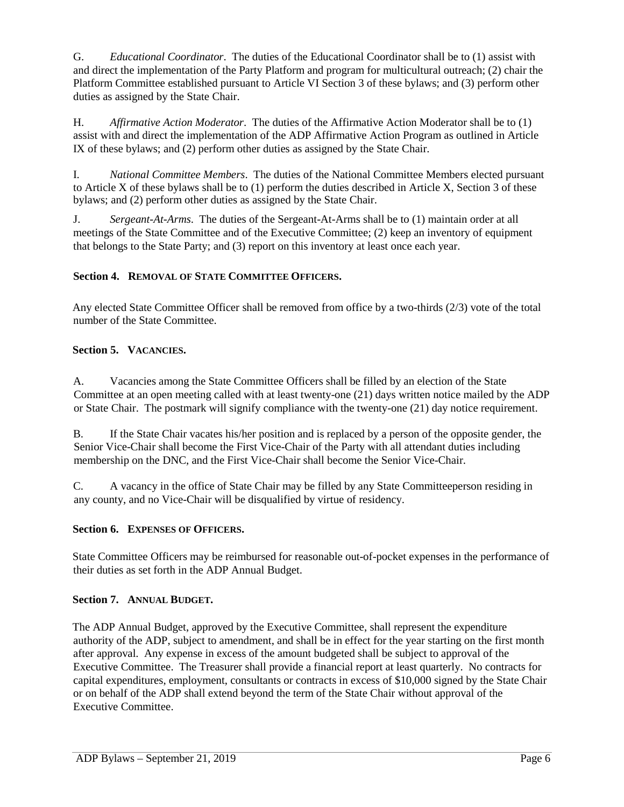G. *Educational Coordinator*. The duties of the Educational Coordinator shall be to (1) assist with and direct the implementation of the Party Platform and program for multicultural outreach; (2) chair the Platform Committee established pursuant to Article VI Section 3 of these bylaws; and (3) perform other duties as assigned by the State Chair.

H. *Affirmative Action Moderator*. The duties of the Affirmative Action Moderator shall be to (1) assist with and direct the implementation of the ADP Affirmative Action Program as outlined in Article IX of these bylaws; and (2) perform other duties as assigned by the State Chair.

I. *National Committee Members*. The duties of the National Committee Members elected pursuant to Article X of these bylaws shall be to (1) perform the duties described in Article X, Section 3 of these bylaws; and (2) perform other duties as assigned by the State Chair.

J. *Sergeant-At-Arms*. The duties of the Sergeant-At-Arms shall be to (1) maintain order at all meetings of the State Committee and of the Executive Committee; (2) keep an inventory of equipment that belongs to the State Party; and (3) report on this inventory at least once each year.

# **Section 4. REMOVAL OF STATE COMMITTEE OFFICERS.**

Any elected State Committee Officer shall be removed from office by a two-thirds (2/3) vote of the total number of the State Committee.

# **Section 5. VACANCIES.**

A. Vacancies among the State Committee Officers shall be filled by an election of the State Committee at an open meeting called with at least twenty-one (21) days written notice mailed by the ADP or State Chair. The postmark will signify compliance with the twenty-one (21) day notice requirement.

B. If the State Chair vacates his/her position and is replaced by a person of the opposite gender, the Senior Vice-Chair shall become the First Vice-Chair of the Party with all attendant duties including membership on the DNC, and the First Vice-Chair shall become the Senior Vice-Chair.

C. A vacancy in the office of State Chair may be filled by any State Committeeperson residing in any county, and no Vice-Chair will be disqualified by virtue of residency.

# **Section 6. EXPENSES OF OFFICERS.**

State Committee Officers may be reimbursed for reasonable out-of-pocket expenses in the performance of their duties as set forth in the ADP Annual Budget.

# **Section 7. ANNUAL BUDGET.**

The ADP Annual Budget, approved by the Executive Committee, shall represent the expenditure authority of the ADP, subject to amendment, and shall be in effect for the year starting on the first month after approval. Any expense in excess of the amount budgeted shall be subject to approval of the Executive Committee. The Treasurer shall provide a financial report at least quarterly. No contracts for capital expenditures, employment, consultants or contracts in excess of \$10,000 signed by the State Chair or on behalf of the ADP shall extend beyond the term of the State Chair without approval of the Executive Committee.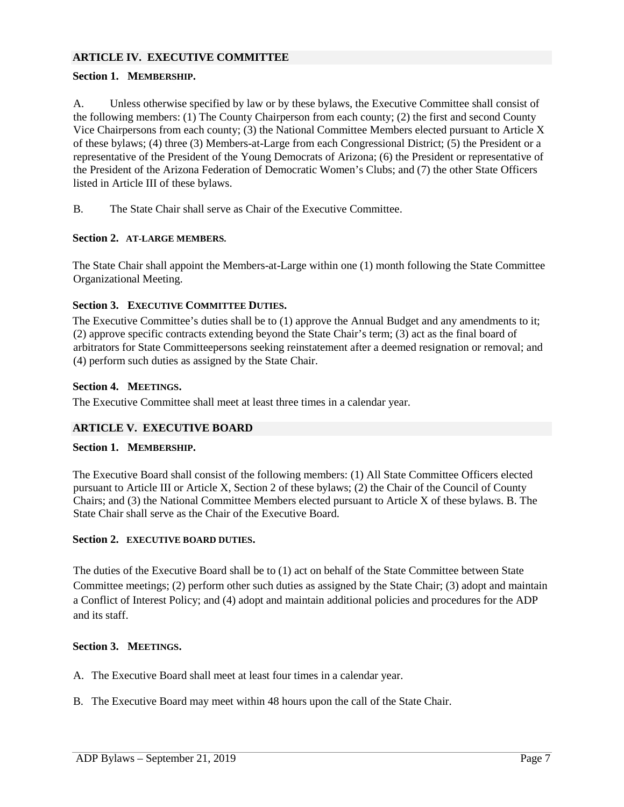### **ARTICLE IV. EXECUTIVE COMMITTEE**

#### **Section 1. MEMBERSHIP.**

A. Unless otherwise specified by law or by these bylaws, the Executive Committee shall consist of the following members: (1) The County Chairperson from each county; (2) the first and second County Vice Chairpersons from each county; (3) the National Committee Members elected pursuant to Article X of these bylaws; (4) three (3) Members-at-Large from each Congressional District; (5) the President or a representative of the President of the Young Democrats of Arizona; (6) the President or representative of the President of the Arizona Federation of Democratic Women's Clubs; and (7) the other State Officers listed in Article III of these bylaws.

B. The State Chair shall serve as Chair of the Executive Committee.

### **Section 2. AT-LARGE MEMBERS.**

The State Chair shall appoint the Members-at-Large within one (1) month following the State Committee Organizational Meeting.

### **Section 3. EXECUTIVE COMMITTEE DUTIES.**

The Executive Committee's duties shall be to (1) approve the Annual Budget and any amendments to it; (2) approve specific contracts extending beyond the State Chair's term; (3) act as the final board of arbitrators for State Committeepersons seeking reinstatement after a deemed resignation or removal; and (4) perform such duties as assigned by the State Chair.

#### **Section 4. MEETINGS.**

The Executive Committee shall meet at least three times in a calendar year.

# **ARTICLE V. EXECUTIVE BOARD**

#### **Section 1. MEMBERSHIP.**

The Executive Board shall consist of the following members: (1) All State Committee Officers elected pursuant to Article III or Article X, Section 2 of these bylaws; (2) the Chair of the Council of County Chairs; and (3) the National Committee Members elected pursuant to Article X of these bylaws. B. The State Chair shall serve as the Chair of the Executive Board.

#### **Section 2. EXECUTIVE BOARD DUTIES.**

The duties of the Executive Board shall be to (1) act on behalf of the State Committee between State Committee meetings; (2) perform other such duties as assigned by the State Chair; (3) adopt and maintain a Conflict of Interest Policy; and (4) adopt and maintain additional policies and procedures for the ADP and its staff.

### **Section 3. MEETINGS.**

- A. The Executive Board shall meet at least four times in a calendar year.
- B. The Executive Board may meet within 48 hours upon the call of the State Chair.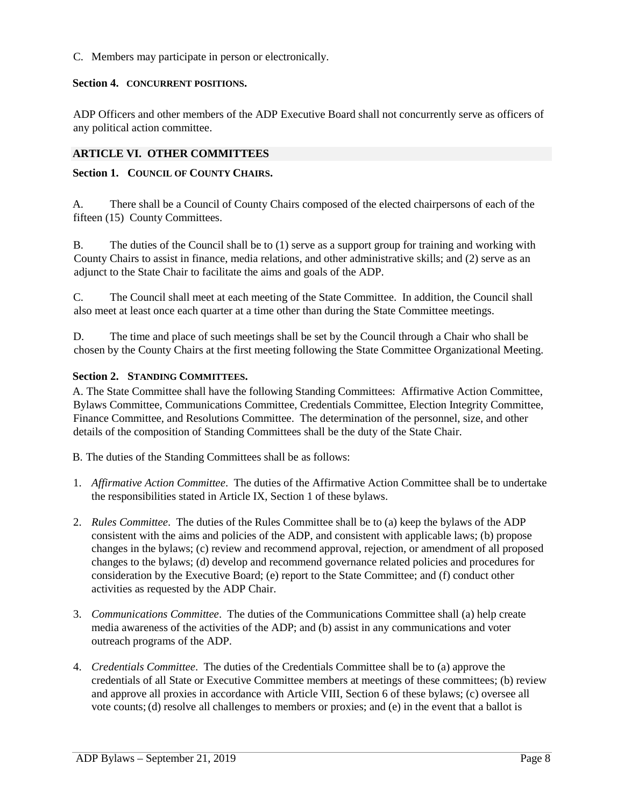C. Members may participate in person or electronically.

#### **Section 4. CONCURRENT POSITIONS.**

ADP Officers and other members of the ADP Executive Board shall not concurrently serve as officers of any political action committee.

# **ARTICLE VI. OTHER COMMITTEES**

## **Section 1. COUNCIL OF COUNTY CHAIRS.**

A. There shall be a Council of County Chairs composed of the elected chairpersons of each of the fifteen (15) County Committees.

B. The duties of the Council shall be to (1) serve as a support group for training and working with County Chairs to assist in finance, media relations, and other administrative skills; and (2) serve as an adjunct to the State Chair to facilitate the aims and goals of the ADP.

C. The Council shall meet at each meeting of the State Committee. In addition, the Council shall also meet at least once each quarter at a time other than during the State Committee meetings.

D. The time and place of such meetings shall be set by the Council through a Chair who shall be chosen by the County Chairs at the first meeting following the State Committee Organizational Meeting.

### **Section 2. STANDING COMMITTEES.**

A. The State Committee shall have the following Standing Committees: Affirmative Action Committee, Bylaws Committee, Communications Committee, Credentials Committee, Election Integrity Committee, Finance Committee, and Resolutions Committee. The determination of the personnel, size, and other details of the composition of Standing Committees shall be the duty of the State Chair.

B. The duties of the Standing Committees shall be as follows:

- 1. *Affirmative Action Committee*. The duties of the Affirmative Action Committee shall be to undertake the responsibilities stated in Article IX, Section 1 of these bylaws.
- 2. *Rules Committee*. The duties of the Rules Committee shall be to (a) keep the bylaws of the ADP consistent with the aims and policies of the ADP, and consistent with applicable laws; (b) propose changes in the bylaws; (c) review and recommend approval, rejection, or amendment of all proposed changes to the bylaws; (d) develop and recommend governance related policies and procedures for consideration by the Executive Board; (e) report to the State Committee; and (f) conduct other activities as requested by the ADP Chair.
- 3. *Communications Committee*. The duties of the Communications Committee shall (a) help create media awareness of the activities of the ADP; and (b) assist in any communications and voter outreach programs of the ADP.
- 4. *Credentials Committee*. The duties of the Credentials Committee shall be to (a) approve the credentials of all State or Executive Committee members at meetings of these committees; (b) review and approve all proxies in accordance with Article VIII, Section 6 of these bylaws; (c) oversee all vote counts;(d) resolve all challenges to members or proxies; and (e) in the event that a ballot is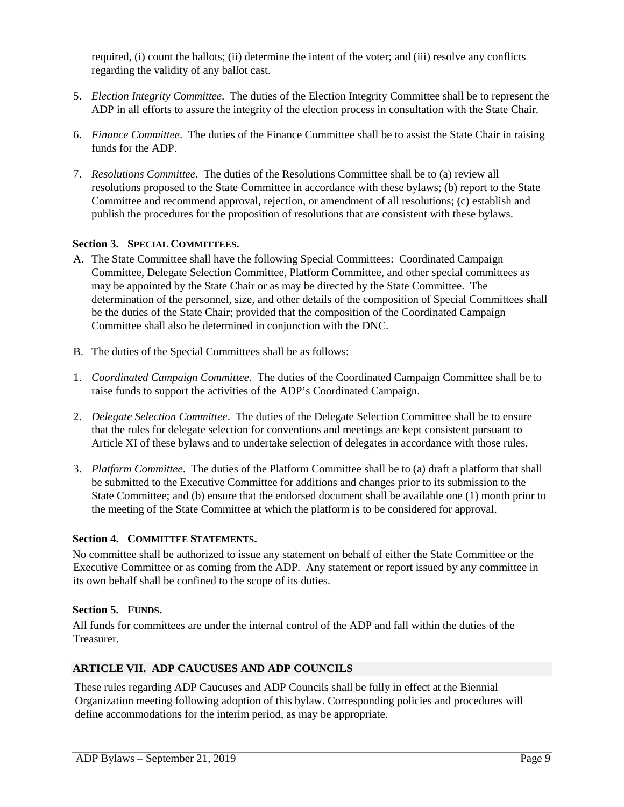required, (i) count the ballots; (ii) determine the intent of the voter; and (iii) resolve any conflicts regarding the validity of any ballot cast.

- 5. *Election Integrity Committee*. The duties of the Election Integrity Committee shall be to represent the ADP in all efforts to assure the integrity of the election process in consultation with the State Chair.
- 6. *Finance Committee*. The duties of the Finance Committee shall be to assist the State Chair in raising funds for the ADP.
- 7. *Resolutions Committee*. The duties of the Resolutions Committee shall be to (a) review all resolutions proposed to the State Committee in accordance with these bylaws; (b) report to the State Committee and recommend approval, rejection, or amendment of all resolutions; (c) establish and publish the procedures for the proposition of resolutions that are consistent with these bylaws.

### **Section 3. SPECIAL COMMITTEES.**

- A. The State Committee shall have the following Special Committees: Coordinated Campaign Committee, Delegate Selection Committee, Platform Committee, and other special committees as may be appointed by the State Chair or as may be directed by the State Committee. The determination of the personnel, size, and other details of the composition of Special Committees shall be the duties of the State Chair; provided that the composition of the Coordinated Campaign Committee shall also be determined in conjunction with the DNC.
- B. The duties of the Special Committees shall be as follows:
- 1. *Coordinated Campaign Committee*. The duties of the Coordinated Campaign Committee shall be to raise funds to support the activities of the ADP's Coordinated Campaign.
- 2. *Delegate Selection Committee*. The duties of the Delegate Selection Committee shall be to ensure that the rules for delegate selection for conventions and meetings are kept consistent pursuant to Article XI of these bylaws and to undertake selection of delegates in accordance with those rules.
- 3. *Platform Committee*. The duties of the Platform Committee shall be to (a) draft a platform that shall be submitted to the Executive Committee for additions and changes prior to its submission to the State Committee; and (b) ensure that the endorsed document shall be available one (1) month prior to the meeting of the State Committee at which the platform is to be considered for approval.

#### **Section 4. COMMITTEE STATEMENTS.**

No committee shall be authorized to issue any statement on behalf of either the State Committee or the Executive Committee or as coming from the ADP. Any statement or report issued by any committee in its own behalf shall be confined to the scope of its duties.

#### **Section 5. FUNDS.**

All funds for committees are under the internal control of the ADP and fall within the duties of the Treasurer.

# **ARTICLE VII. ADP CAUCUSES AND ADP COUNCILS**

These rules regarding ADP Caucuses and ADP Councils shall be fully in effect at the Biennial Organization meeting following adoption of this bylaw. Corresponding policies and procedures will define accommodations for the interim period, as may be appropriate.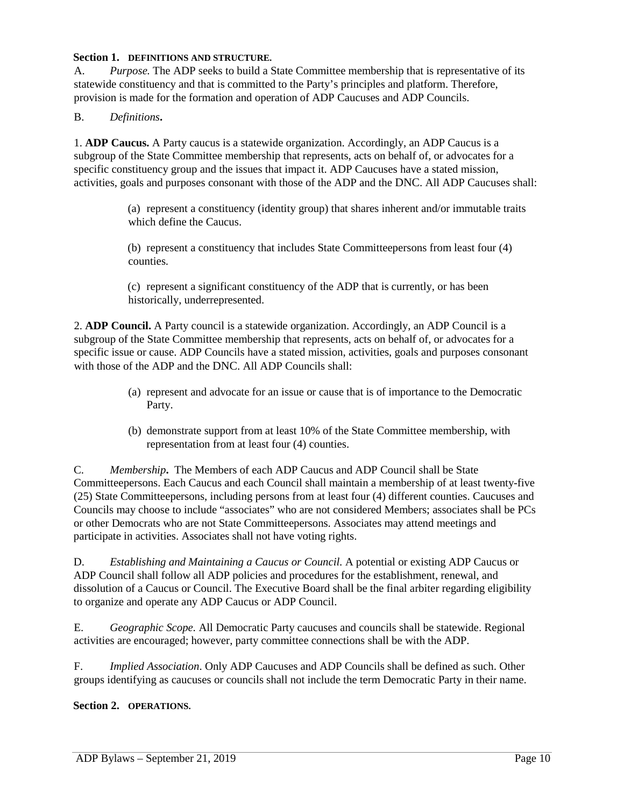#### **Section 1. DEFINITIONS AND STRUCTURE.**

A. *Purpose.* The ADP seeks to build a State Committee membership that is representative of its statewide constituency and that is committed to the Party's principles and platform. Therefore, provision is made for the formation and operation of ADP Caucuses and ADP Councils.

## B. *Definitions***.**

1. **ADP Caucus.** A Party caucus is a statewide organization. Accordingly, an ADP Caucus is a subgroup of the State Committee membership that represents, acts on behalf of, or advocates for a specific constituency group and the issues that impact it. ADP Caucuses have a stated mission, activities, goals and purposes consonant with those of the ADP and the DNC. All ADP Caucuses shall:

> (a) represent a constituency (identity group) that shares inherent and/or immutable traits which define the Caucus.

(b) represent a constituency that includes State Committeepersons from least four (4) counties.

(c) represent a significant constituency of the ADP that is currently, or has been historically, underrepresented.

2. **ADP Council.** A Party council is a statewide organization. Accordingly, an ADP Council is a subgroup of the State Committee membership that represents, acts on behalf of, or advocates for a specific issue or cause. ADP Councils have a stated mission, activities, goals and purposes consonant with those of the ADP and the DNC. All ADP Councils shall:

- (a) represent and advocate for an issue or cause that is of importance to the Democratic Party.
- (b) demonstrate support from at least 10% of the State Committee membership, with representation from at least four (4) counties.

C. *Membership***.** The Members of each ADP Caucus and ADP Council shall be State Committeepersons. Each Caucus and each Council shall maintain a membership of at least twenty-five (25) State Committeepersons, including persons from at least four (4) different counties. Caucuses and Councils may choose to include "associates" who are not considered Members; associates shall be PCs or other Democrats who are not State Committeepersons. Associates may attend meetings and participate in activities. Associates shall not have voting rights.

D. *Establishing and Maintaining a Caucus or Council.* A potential or existing ADP Caucus or ADP Council shall follow all ADP policies and procedures for the establishment, renewal, and dissolution of a Caucus or Council. The Executive Board shall be the final arbiter regarding eligibility to organize and operate any ADP Caucus or ADP Council.

E. *Geographic Scope.* All Democratic Party caucuses and councils shall be statewide. Regional activities are encouraged; however, party committee connections shall be with the ADP.

F. *Implied Association*. Only ADP Caucuses and ADP Councils shall be defined as such. Other groups identifying as caucuses or councils shall not include the term Democratic Party in their name.

#### **Section 2. OPERATIONS.**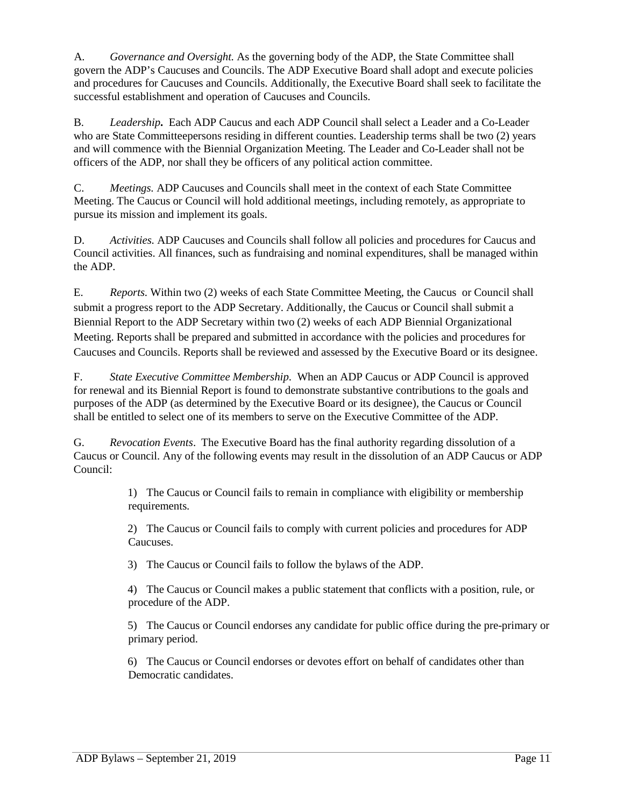A. *Governance and Oversight.* As the governing body of the ADP, the State Committee shall govern the ADP's Caucuses and Councils. The ADP Executive Board shall adopt and execute policies and procedures for Caucuses and Councils. Additionally, the Executive Board shall seek to facilitate the successful establishment and operation of Caucuses and Councils.

B. *Leadership***.** Each ADP Caucus and each ADP Council shall select a Leader and a Co-Leader who are State Committeepersons residing in different counties. Leadership terms shall be two (2) years and will commence with the Biennial Organization Meeting. The Leader and Co-Leader shall not be officers of the ADP, nor shall they be officers of any political action committee.

C. *Meetings.* ADP Caucuses and Councils shall meet in the context of each State Committee Meeting. The Caucus or Council will hold additional meetings, including remotely, as appropriate to pursue its mission and implement its goals.

D. *Activities.* ADP Caucuses and Councils shall follow all policies and procedures for Caucus and Council activities. All finances, such as fundraising and nominal expenditures, shall be managed within the ADP.

E. *Reports.* Within two (2) weeks of each State Committee Meeting, the Caucus or Council shall submit a progress report to the ADP Secretary. Additionally, the Caucus or Council shall submit a Biennial Report to the ADP Secretary within two (2) weeks of each ADP Biennial Organizational Meeting. Reports shall be prepared and submitted in accordance with the policies and procedures for Caucuses and Councils. Reports shall be reviewed and assessed by the Executive Board or its designee.

F. *State Executive Committee Membership*. When an ADP Caucus or ADP Council is approved for renewal and its Biennial Report is found to demonstrate substantive contributions to the goals and purposes of the ADP (as determined by the Executive Board or its designee), the Caucus or Council shall be entitled to select one of its members to serve on the Executive Committee of the ADP.

G. *Revocation Events*. The Executive Board has the final authority regarding dissolution of a Caucus or Council. Any of the following events may result in the dissolution of an ADP Caucus or ADP Council:

> 1) The Caucus or Council fails to remain in compliance with eligibility or membership requirements.

> 2) The Caucus or Council fails to comply with current policies and procedures for ADP Caucuses.

3) The Caucus or Council fails to follow the bylaws of the ADP.

4) The Caucus or Council makes a public statement that conflicts with a position, rule, or procedure of the ADP.

5) The Caucus or Council endorses any candidate for public office during the pre-primary or primary period.

6) The Caucus or Council endorses or devotes effort on behalf of candidates other than Democratic candidates.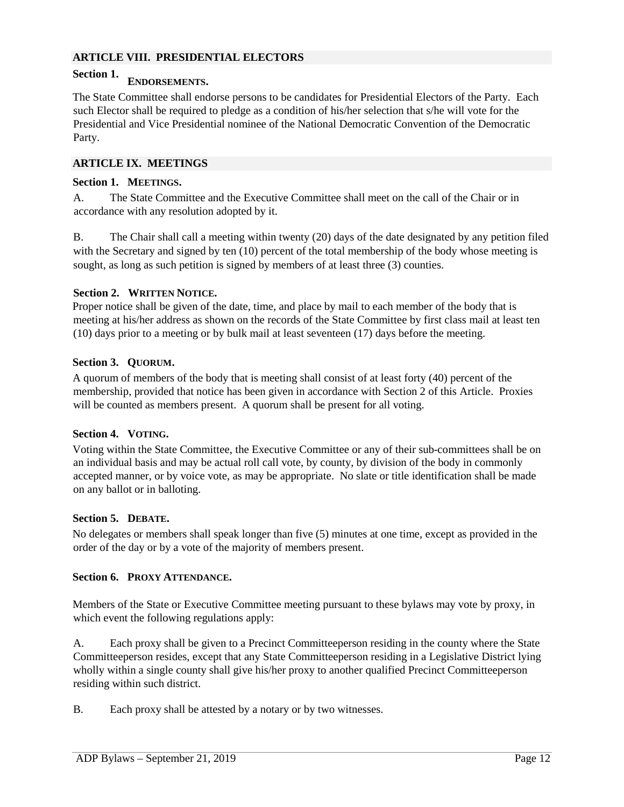#### **ARTICLE VIII. PRESIDENTIAL ELECTORS**

# Section 1. **ENDORSEMENTS.**

The State Committee shall endorse persons to be candidates for Presidential Electors of the Party. Each such Elector shall be required to pledge as a condition of his/her selection that s/he will vote for the Presidential and Vice Presidential nominee of the National Democratic Convention of the Democratic Party.

#### **ARTICLE IX. MEETINGS**

### **Section 1. MEETINGS.**

A. The State Committee and the Executive Committee shall meet on the call of the Chair or in accordance with any resolution adopted by it.

B. The Chair shall call a meeting within twenty (20) days of the date designated by any petition filed with the Secretary and signed by ten (10) percent of the total membership of the body whose meeting is sought, as long as such petition is signed by members of at least three (3) counties.

#### **Section 2. WRITTEN NOTICE.**

Proper notice shall be given of the date, time, and place by mail to each member of the body that is meeting at his/her address as shown on the records of the State Committee by first class mail at least ten (10) days prior to a meeting or by bulk mail at least seventeen (17) days before the meeting.

#### **Section 3. QUORUM.**

A quorum of members of the body that is meeting shall consist of at least forty (40) percent of the membership, provided that notice has been given in accordance with Section 2 of this Article. Proxies will be counted as members present. A quorum shall be present for all voting.

#### **Section 4. VOTING.**

Voting within the State Committee, the Executive Committee or any of their sub-committees shall be on an individual basis and may be actual roll call vote, by county, by division of the body in commonly accepted manner, or by voice vote, as may be appropriate. No slate or title identification shall be made on any ballot or in balloting.

#### **Section 5. DEBATE.**

No delegates or members shall speak longer than five (5) minutes at one time, except as provided in the order of the day or by a vote of the majority of members present.

#### **Section 6. PROXY ATTENDANCE.**

Members of the State or Executive Committee meeting pursuant to these bylaws may vote by proxy, in which event the following regulations apply:

A. Each proxy shall be given to a Precinct Committeeperson residing in the county where the State Committeeperson resides, except that any State Committeeperson residing in a Legislative District lying wholly within a single county shall give his/her proxy to another qualified Precinct Committeeperson residing within such district.

B. Each proxy shall be attested by a notary or by two witnesses.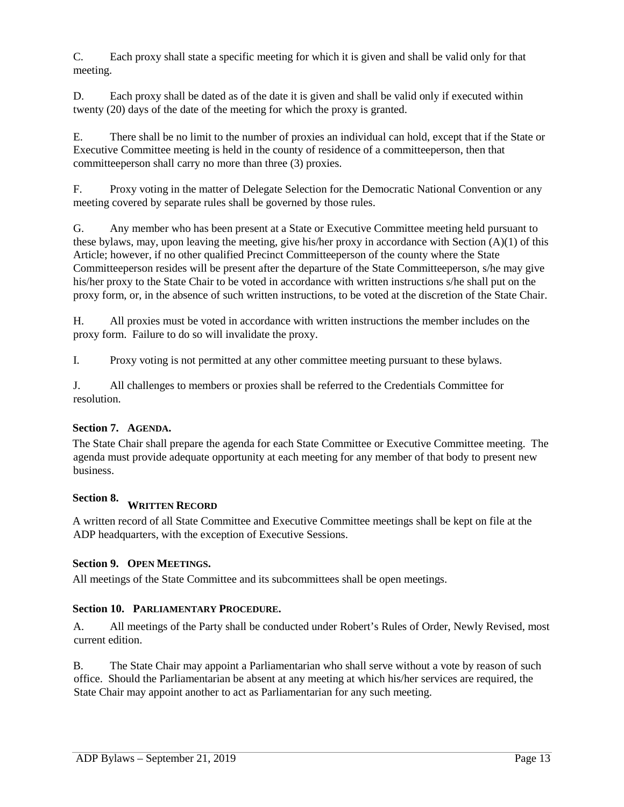C. Each proxy shall state a specific meeting for which it is given and shall be valid only for that meeting.

D. Each proxy shall be dated as of the date it is given and shall be valid only if executed within twenty (20) days of the date of the meeting for which the proxy is granted.

E. There shall be no limit to the number of proxies an individual can hold, except that if the State or Executive Committee meeting is held in the county of residence of a committeeperson, then that committeeperson shall carry no more than three (3) proxies.

F. Proxy voting in the matter of Delegate Selection for the Democratic National Convention or any meeting covered by separate rules shall be governed by those rules.

G. Any member who has been present at a State or Executive Committee meeting held pursuant to these bylaws, may, upon leaving the meeting, give his/her proxy in accordance with Section  $(A)(1)$  of this Article; however, if no other qualified Precinct Committeeperson of the county where the State Committeeperson resides will be present after the departure of the State Committeeperson, s/he may give his/her proxy to the State Chair to be voted in accordance with written instructions s/he shall put on the proxy form, or, in the absence of such written instructions, to be voted at the discretion of the State Chair.

H. All proxies must be voted in accordance with written instructions the member includes on the proxy form. Failure to do so will invalidate the proxy.

I. Proxy voting is not permitted at any other committee meeting pursuant to these bylaws.

J. All challenges to members or proxies shall be referred to the Credentials Committee for resolution.

# **Section 7. AGENDA.**

The State Chair shall prepare the agenda for each State Committee or Executive Committee meeting. The agenda must provide adequate opportunity at each meeting for any member of that body to present new business.

# **Section 8. WRITTEN RECORD**

A written record of all State Committee and Executive Committee meetings shall be kept on file at the ADP headquarters, with the exception of Executive Sessions.

# **Section 9. OPEN MEETINGS.**

All meetings of the State Committee and its subcommittees shall be open meetings.

# **Section 10. PARLIAMENTARY PROCEDURE.**

A. All meetings of the Party shall be conducted under Robert's Rules of Order, Newly Revised, most current edition.

B. The State Chair may appoint a Parliamentarian who shall serve without a vote by reason of such office. Should the Parliamentarian be absent at any meeting at which his/her services are required, the State Chair may appoint another to act as Parliamentarian for any such meeting.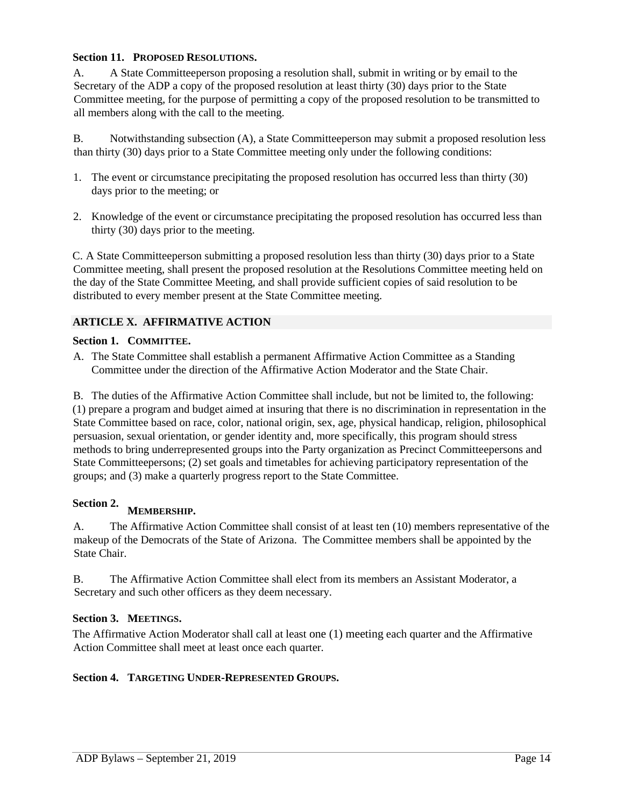## **Section 11. PROPOSED RESOLUTIONS.**

A. A State Committeeperson proposing a resolution shall, submit in writing or by email to the Secretary of the ADP a copy of the proposed resolution at least thirty (30) days prior to the State Committee meeting, for the purpose of permitting a copy of the proposed resolution to be transmitted to all members along with the call to the meeting.

B. Notwithstanding subsection (A), a State Committeeperson may submit a proposed resolution less than thirty (30) days prior to a State Committee meeting only under the following conditions:

- 1. The event or circumstance precipitating the proposed resolution has occurred less than thirty (30) days prior to the meeting; or
- 2. Knowledge of the event or circumstance precipitating the proposed resolution has occurred less than thirty (30) days prior to the meeting.

C. A State Committeeperson submitting a proposed resolution less than thirty (30) days prior to a State Committee meeting, shall present the proposed resolution at the Resolutions Committee meeting held on the day of the State Committee Meeting, and shall provide sufficient copies of said resolution to be distributed to every member present at the State Committee meeting.

# **ARTICLE X. AFFIRMATIVE ACTION**

### **Section 1. COMMITTEE.**

A. The State Committee shall establish a permanent Affirmative Action Committee as a Standing Committee under the direction of the Affirmative Action Moderator and the State Chair.

B. The duties of the Affirmative Action Committee shall include, but not be limited to, the following: (1) prepare a program and budget aimed at insuring that there is no discrimination in representation in the State Committee based on race, color, national origin, sex, age, physical handicap, religion, philosophical persuasion, sexual orientation, or gender identity and, more specifically, this program should stress methods to bring underrepresented groups into the Party organization as Precinct Committeepersons and State Committeepersons; (2) set goals and timetables for achieving participatory representation of the groups; and (3) make a quarterly progress report to the State Committee.

# Section 2. **MEMBERSHIP.**

A. The Affirmative Action Committee shall consist of at least ten (10) members representative of the makeup of the Democrats of the State of Arizona. The Committee members shall be appointed by the State Chair.

B. The Affirmative Action Committee shall elect from its members an Assistant Moderator, a Secretary and such other officers as they deem necessary.

#### **Section 3. MEETINGS.**

The Affirmative Action Moderator shall call at least one (1) meeting each quarter and the Affirmative Action Committee shall meet at least once each quarter.

#### **Section 4. TARGETING UNDER-REPRESENTED GROUPS.**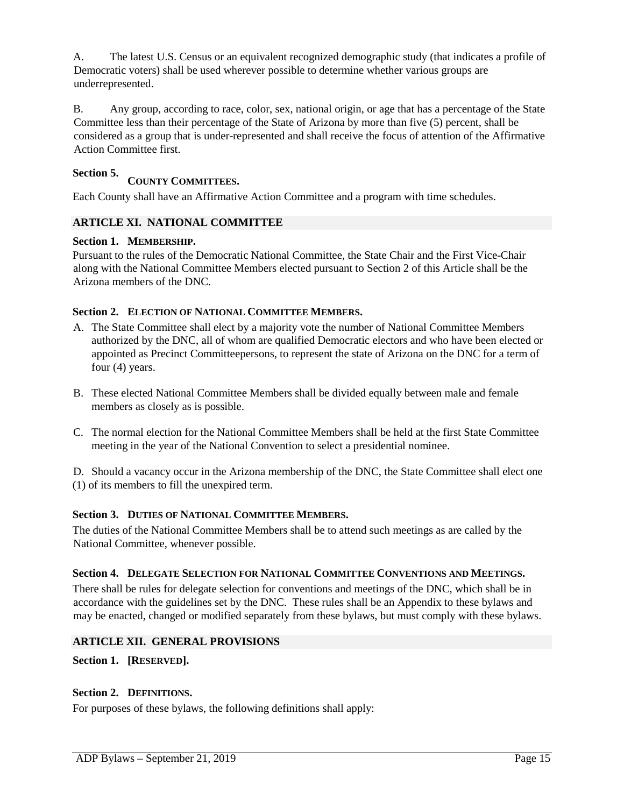A. The latest U.S. Census or an equivalent recognized demographic study (that indicates a profile of Democratic voters) shall be used wherever possible to determine whether various groups are underrepresented.

B. Any group, according to race, color, sex, national origin, or age that has a percentage of the State Committee less than their percentage of the State of Arizona by more than five (5) percent, shall be considered as a group that is under-represented and shall receive the focus of attention of the Affirmative Action Committee first.

# **Section 5. COUNTY COMMITTEES.**

Each County shall have an Affirmative Action Committee and a program with time schedules.

### **ARTICLE XI. NATIONAL COMMITTEE**

### **Section 1. MEMBERSHIP.**

Pursuant to the rules of the Democratic National Committee, the State Chair and the First Vice-Chair along with the National Committee Members elected pursuant to Section 2 of this Article shall be the Arizona members of the DNC.

### **Section 2. ELECTION OF NATIONAL COMMITTEE MEMBERS.**

- A. The State Committee shall elect by a majority vote the number of National Committee Members authorized by the DNC, all of whom are qualified Democratic electors and who have been elected or appointed as Precinct Committeepersons, to represent the state of Arizona on the DNC for a term of four (4) years.
- B. These elected National Committee Members shall be divided equally between male and female members as closely as is possible.
- C. The normal election for the National Committee Members shall be held at the first State Committee meeting in the year of the National Convention to select a presidential nominee.

D. Should a vacancy occur in the Arizona membership of the DNC, the State Committee shall elect one (1) of its members to fill the unexpired term.

#### **Section 3. DUTIES OF NATIONAL COMMITTEE MEMBERS.**

The duties of the National Committee Members shall be to attend such meetings as are called by the National Committee, whenever possible.

#### **Section 4. DELEGATE SELECTION FOR NATIONAL COMMITTEE CONVENTIONS AND MEETINGS.**

There shall be rules for delegate selection for conventions and meetings of the DNC, which shall be in accordance with the guidelines set by the DNC. These rules shall be an Appendix to these bylaws and may be enacted, changed or modified separately from these bylaws, but must comply with these bylaws.

#### **ARTICLE XII. GENERAL PROVISIONS**

#### **Section 1. [RESERVED].**

#### **Section 2. DEFINITIONS.**

For purposes of these bylaws, the following definitions shall apply: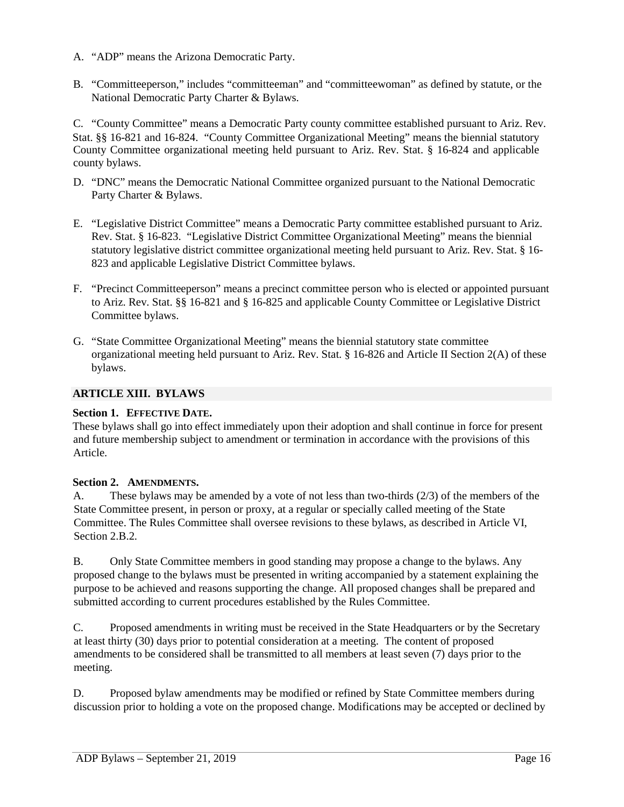- A. "ADP" means the Arizona Democratic Party.
- B. "Committeeperson," includes "committeeman" and "committeewoman" as defined by statute, or the National Democratic Party Charter & Bylaws.

C. "County Committee" means a Democratic Party county committee established pursuant to Ariz. Rev. Stat. §§ 16-821 and 16-824. "County Committee Organizational Meeting" means the biennial statutory County Committee organizational meeting held pursuant to Ariz. Rev. Stat. § 16-824 and applicable county bylaws.

- D. "DNC" means the Democratic National Committee organized pursuant to the National Democratic Party Charter & Bylaws.
- E. "Legislative District Committee" means a Democratic Party committee established pursuant to Ariz. Rev. Stat. § 16-823. "Legislative District Committee Organizational Meeting" means the biennial statutory legislative district committee organizational meeting held pursuant to Ariz. Rev. Stat. § 16- 823 and applicable Legislative District Committee bylaws.
- F. "Precinct Committeeperson" means a precinct committee person who is elected or appointed pursuant to Ariz. Rev. Stat. §§ 16-821 and § 16-825 and applicable County Committee or Legislative District Committee bylaws.
- G. "State Committee Organizational Meeting" means the biennial statutory state committee organizational meeting held pursuant to Ariz. Rev. Stat. § 16-826 and Article II Section 2(A) of these bylaws.

# **ARTICLE XIII. BYLAWS**

# **Section 1. EFFECTIVE DATE.**

These bylaws shall go into effect immediately upon their adoption and shall continue in force for present and future membership subject to amendment or termination in accordance with the provisions of this Article.

# **Section 2. AMENDMENTS.**

A. These bylaws may be amended by a vote of not less than two-thirds (2/3) of the members of the State Committee present, in person or proxy, at a regular or specially called meeting of the State Committee. The Rules Committee shall oversee revisions to these bylaws, as described in Article VI, Section 2.B.2.

B. Only State Committee members in good standing may propose a change to the bylaws. Any proposed change to the bylaws must be presented in writing accompanied by a statement explaining the purpose to be achieved and reasons supporting the change. All proposed changes shall be prepared and submitted according to current procedures established by the Rules Committee.

C. Proposed amendments in writing must be received in the State Headquarters or by the Secretary at least thirty (30) days prior to potential consideration at a meeting. The content of proposed amendments to be considered shall be transmitted to all members at least seven (7) days prior to the meeting.

D. Proposed bylaw amendments may be modified or refined by State Committee members during discussion prior to holding a vote on the proposed change. Modifications may be accepted or declined by